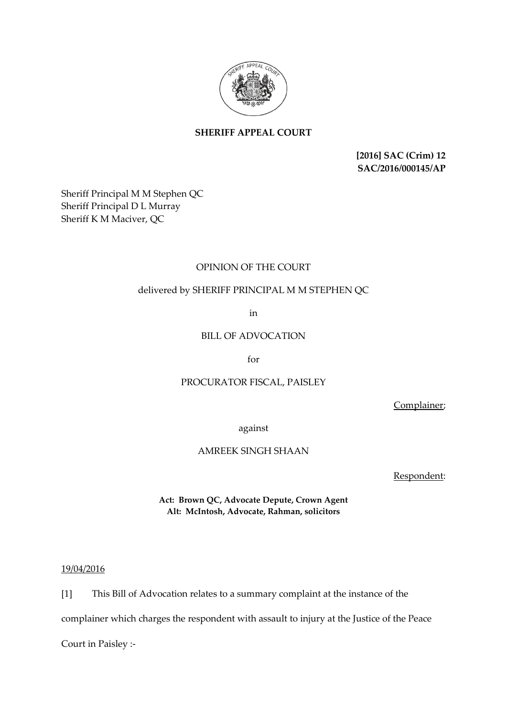

# **SHERIFF APPEAL COURT**

**[2016] SAC (Crim) 12 SAC/2016/000145/AP**

Sheriff Principal M M Stephen QC Sheriff Principal D L Murray Sheriff K M Maciver, QC

## OPINION OF THE COURT

## delivered by SHERIFF PRINCIPAL M M STEPHEN QC

in

## BILL OF ADVOCATION

for

## PROCURATOR FISCAL, PAISLEY

Complainer;

against

## AMREEK SINGH SHAAN

Respondent:

**Act: Brown QC, Advocate Depute, Crown Agent Alt: McIntosh, Advocate, Rahman, solicitors**

#### 19/04/2016

[1] This Bill of Advocation relates to a summary complaint at the instance of the

complainer which charges the respondent with assault to injury at the Justice of the Peace

Court in Paisley :-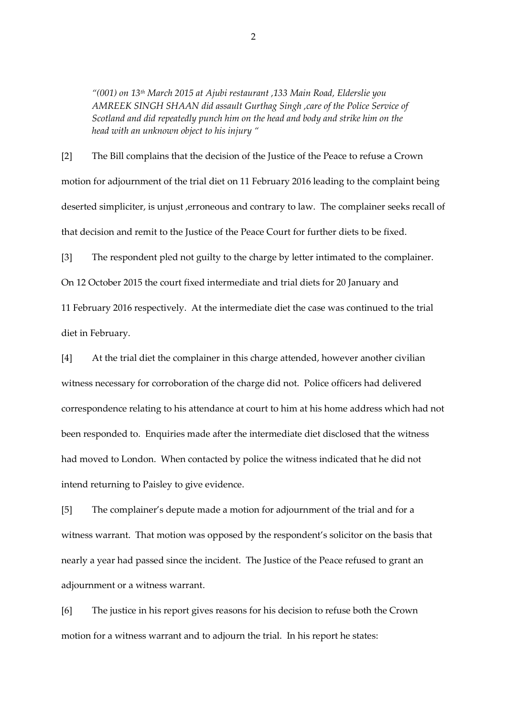*"(001) on 13th March 2015 at Ajubi restaurant ,133 Main Road, Elderslie you AMREEK SINGH SHAAN did assault Gurthag Singh ,care of the Police Service of Scotland and did repeatedly punch him on the head and body and strike him on the head with an unknown object to his injury "*

[2] The Bill complains that the decision of the Justice of the Peace to refuse a Crown motion for adjournment of the trial diet on 11 February 2016 leading to the complaint being deserted simpliciter, is unjust , erroneous and contrary to law. The complainer seeks recall of that decision and remit to the Justice of the Peace Court for further diets to be fixed.

[3] The respondent pled not guilty to the charge by letter intimated to the complainer. On 12 October 2015 the court fixed intermediate and trial diets for 20 January and 11 February 2016 respectively. At the intermediate diet the case was continued to the trial diet in February.

[4] At the trial diet the complainer in this charge attended, however another civilian witness necessary for corroboration of the charge did not. Police officers had delivered correspondence relating to his attendance at court to him at his home address which had not been responded to. Enquiries made after the intermediate diet disclosed that the witness had moved to London. When contacted by police the witness indicated that he did not intend returning to Paisley to give evidence.

[5] The complainer's depute made a motion for adjournment of the trial and for a witness warrant. That motion was opposed by the respondent's solicitor on the basis that nearly a year had passed since the incident. The Justice of the Peace refused to grant an adjournment or a witness warrant.

[6] The justice in his report gives reasons for his decision to refuse both the Crown motion for a witness warrant and to adjourn the trial. In his report he states: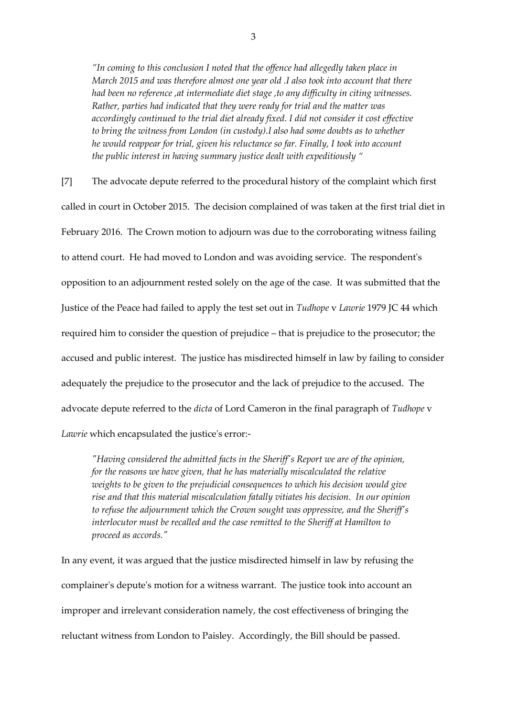*"In coming to this conclusion I noted that the offence had allegedly taken place in March 2015 and was therefore almost one year old .I also took into account that there had been no reference ,at intermediate diet stage ,to any difficulty in citing witnesses. Rather, parties had indicated that they were ready for trial and the matter was accordingly continued to the trial diet already fixed. I did not consider it cost effective to bring the witness from London (in custody).I also had some doubts as to whether he would reappear for trial, given his reluctance so far. Finally, I took into account the public interest in having summary justice dealt with expeditiously "*

[7] The advocate depute referred to the procedural history of the complaint which first called in court in October 2015. The decision complained of was taken at the first trial diet in February 2016. The Crown motion to adjourn was due to the corroborating witness failing to attend court. He had moved to London and was avoiding service. The respondent's opposition to an adjournment rested solely on the age of the case. It was submitted that the Justice of the Peace had failed to apply the test set out in *Tudhope* v *Lawrie* 1979 JC 44 which required him to consider the question of prejudice – that is prejudice to the prosecutor; the accused and public interest. The justice has misdirected himself in law by failing to consider adequately the prejudice to the prosecutor and the lack of prejudice to the accused. The advocate depute referred to the *dicta* of Lord Cameron in the final paragraph of *Tudhope* v *Lawrie* which encapsulated the justice's error:-

*"Having considered the admitted facts in the Sheriff's Report we are of the opinion, for the reasons we have given, that he has materially miscalculated the relative weights to be given to the prejudicial consequences to which his decision would give rise and that this material miscalculation fatally vitiates his decision. In our opinion to refuse the adjournment which the Crown sought was oppressive, and the Sheriff's interlocutor must be recalled and the case remitted to the Sheriff at Hamilton to proceed as accords."*

In any event, it was argued that the justice misdirected himself in law by refusing the complainer's depute's motion for a witness warrant. The justice took into account an improper and irrelevant consideration namely, the cost effectiveness of bringing the reluctant witness from London to Paisley. Accordingly, the Bill should be passed.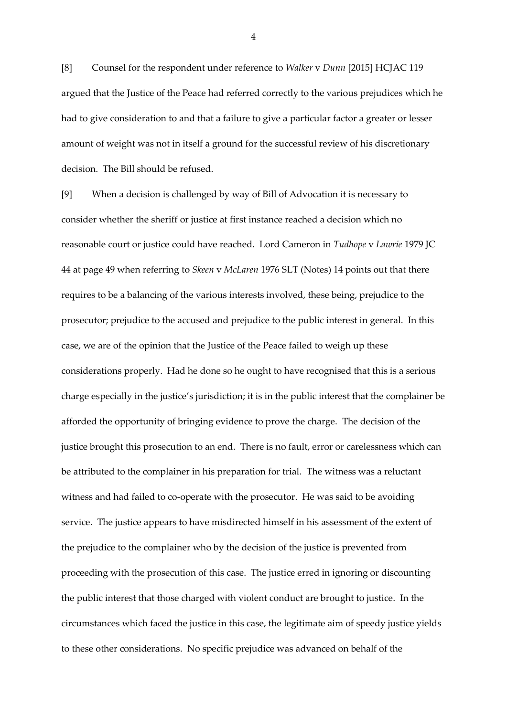[8] Counsel for the respondent under reference to *Walker* v *Dunn* [2015] HCJAC 119 argued that the Justice of the Peace had referred correctly to the various prejudices which he had to give consideration to and that a failure to give a particular factor a greater or lesser amount of weight was not in itself a ground for the successful review of his discretionary decision. The Bill should be refused.

[9] When a decision is challenged by way of Bill of Advocation it is necessary to consider whether the sheriff or justice at first instance reached a decision which no reasonable court or justice could have reached. Lord Cameron in *Tudhope* v *Lawrie* 1979 JC 44 at page 49 when referring to *Skeen* v *McLaren* 1976 SLT (Notes) 14 points out that there requires to be a balancing of the various interests involved, these being, prejudice to the prosecutor; prejudice to the accused and prejudice to the public interest in general. In this case, we are of the opinion that the Justice of the Peace failed to weigh up these considerations properly. Had he done so he ought to have recognised that this is a serious charge especially in the justice's jurisdiction; it is in the public interest that the complainer be afforded the opportunity of bringing evidence to prove the charge. The decision of the justice brought this prosecution to an end. There is no fault, error or carelessness which can be attributed to the complainer in his preparation for trial. The witness was a reluctant witness and had failed to co-operate with the prosecutor. He was said to be avoiding service. The justice appears to have misdirected himself in his assessment of the extent of the prejudice to the complainer who by the decision of the justice is prevented from proceeding with the prosecution of this case. The justice erred in ignoring or discounting the public interest that those charged with violent conduct are brought to justice. In the circumstances which faced the justice in this case, the legitimate aim of speedy justice yields to these other considerations. No specific prejudice was advanced on behalf of the

4